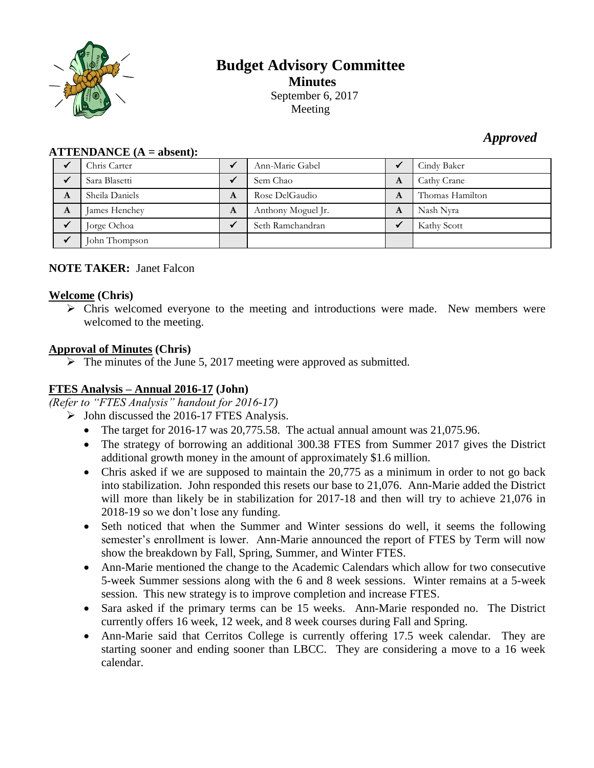

# **Budget Advisory Committee Minutes** September 6, 2017 Meeting

# *Approved*

| $\bf ATTENDANCE (A = absent):$ |                |   |                    |   |                 |  |  |  |  |
|--------------------------------|----------------|---|--------------------|---|-----------------|--|--|--|--|
|                                | Chris Carter   |   | Ann-Marie Gabel    |   | Cindy Baker     |  |  |  |  |
|                                | Sara Blasetti  |   | Sem Chao           | A | Cathy Crane     |  |  |  |  |
| A                              | Sheila Daniels | A | Rose DelGaudio     | A | Thomas Hamilton |  |  |  |  |
| A                              | James Henchey  | A | Anthony Moguel Jr. | A | Nash Nyra       |  |  |  |  |
|                                | Jorge Ochoa    |   | Seth Ramchandran   |   | Kathy Scott     |  |  |  |  |
|                                | John Thompson  |   |                    |   |                 |  |  |  |  |

# **NOTE TAKER:** Janet Falcon

# **Welcome (Chris)**

 $\triangleright$  Chris welcomed everyone to the meeting and introductions were made. New members were welcomed to the meeting.

# **Approval of Minutes (Chris)**

 $\triangleright$  The minutes of the June 5, 2017 meeting were approved as submitted.

# **FTES Analysis – Annual 2016-17 (John)**

*(Refer to "FTES Analysis" handout for 2016-17)*

- $\triangleright$  John discussed the 2016-17 FTES Analysis.
	- The target for 2016-17 was 20,775.58. The actual annual amount was 21,075.96.
	- The strategy of borrowing an additional 300.38 FTES from Summer 2017 gives the District additional growth money in the amount of approximately \$1.6 million.
	- Chris asked if we are supposed to maintain the 20,775 as a minimum in order to not go back into stabilization. John responded this resets our base to 21,076. Ann-Marie added the District will more than likely be in stabilization for 2017-18 and then will try to achieve 21,076 in 2018-19 so we don't lose any funding.
	- Seth noticed that when the Summer and Winter sessions do well, it seems the following semester's enrollment is lower. Ann-Marie announced the report of FTES by Term will now show the breakdown by Fall, Spring, Summer, and Winter FTES.
	- Ann-Marie mentioned the change to the Academic Calendars which allow for two consecutive 5-week Summer sessions along with the 6 and 8 week sessions. Winter remains at a 5-week session. This new strategy is to improve completion and increase FTES.
	- Sara asked if the primary terms can be 15 weeks. Ann-Marie responded no. The District currently offers 16 week, 12 week, and 8 week courses during Fall and Spring.
	- Ann-Marie said that Cerritos College is currently offering 17.5 week calendar. They are starting sooner and ending sooner than LBCC. They are considering a move to a 16 week calendar.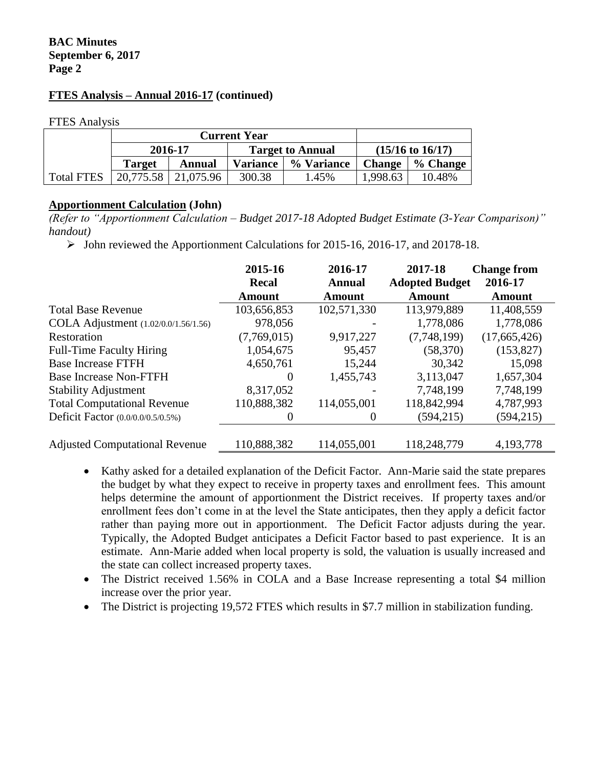## **BAC Minutes September 6, 2017 Page 2**

#### **FTES Analysis – Annual 2016-17 (continued)**

FTES Analysis

|                   |           | <b>Current Year</b> |                 |                         |                             |          |
|-------------------|-----------|---------------------|-----------------|-------------------------|-----------------------------|----------|
|                   | 2016-17   |                     |                 | <b>Target to Annual</b> | $(15/16 \text{ to } 16/17)$ |          |
|                   | Target    | Annual              | <b>Variance</b> | % Variance              | <b>Change</b>               | % Change |
| <b>Total FTES</b> | 20,775.58 | 21,075.96           | 300.38          | 1.45%                   | 1,998.63                    | 10.48%   |

#### **Apportionment Calculation (John)**

*(Refer to "Apportionment Calculation – Budget 2017-18 Adopted Budget Estimate (3-Year Comparison)" handout)*

 $\triangleright$  John reviewed the Apportionment Calculations for 2015-16, 2016-17, and 20178-18.

|                                       | 2015-16<br><b>Recal</b> | 2016-17<br><b>Annual</b> | 2017-18<br><b>Adopted Budget</b> | <b>Change from</b><br>2016-17 |
|---------------------------------------|-------------------------|--------------------------|----------------------------------|-------------------------------|
|                                       | Amount                  | Amount                   | Amount                           | Amount                        |
| <b>Total Base Revenue</b>             | 103,656,853             | 102,571,330              | 113,979,889                      | 11,408,559                    |
| COLA Adjustment (1.02/0.0/1.56/1.56)  | 978,056                 |                          | 1,778,086                        | 1,778,086                     |
| Restoration                           | (7,769,015)             | 9,917,227                | (7,748,199)                      | (17,665,426)                  |
| <b>Full-Time Faculty Hiring</b>       | 1,054,675               | 95,457                   | (58, 370)                        | (153, 827)                    |
| <b>Base Increase FTFH</b>             | 4,650,761               | 15,244                   | 30,342                           | 15,098                        |
| <b>Base Increase Non-FTFH</b>         | $\theta$                | 1,455,743                | 3,113,047                        | 1,657,304                     |
| <b>Stability Adjustment</b>           | 8,317,052               |                          | 7,748,199                        | 7,748,199                     |
| <b>Total Computational Revenue</b>    | 110,888,382             | 114,055,001              | 118,842,994                      | 4,787,993                     |
| Deficit Factor (0.0/0.0/0.5/0.5%)     | 0                       | $\theta$                 | (594, 215)                       | (594, 215)                    |
| <b>Adjusted Computational Revenue</b> | 110,888,382             | 114,055,001              | 118,248,779                      | 4,193,778                     |

- Kathy asked for a detailed explanation of the Deficit Factor. Ann-Marie said the state prepares the budget by what they expect to receive in property taxes and enrollment fees. This amount helps determine the amount of apportionment the District receives. If property taxes and/or enrollment fees don't come in at the level the State anticipates, then they apply a deficit factor rather than paying more out in apportionment. The Deficit Factor adjusts during the year. Typically, the Adopted Budget anticipates a Deficit Factor based to past experience. It is an estimate. Ann-Marie added when local property is sold, the valuation is usually increased and the state can collect increased property taxes.
- The District received 1.56% in COLA and a Base Increase representing a total \$4 million increase over the prior year.
- The District is projecting 19,572 FTES which results in \$7.7 million in stabilization funding.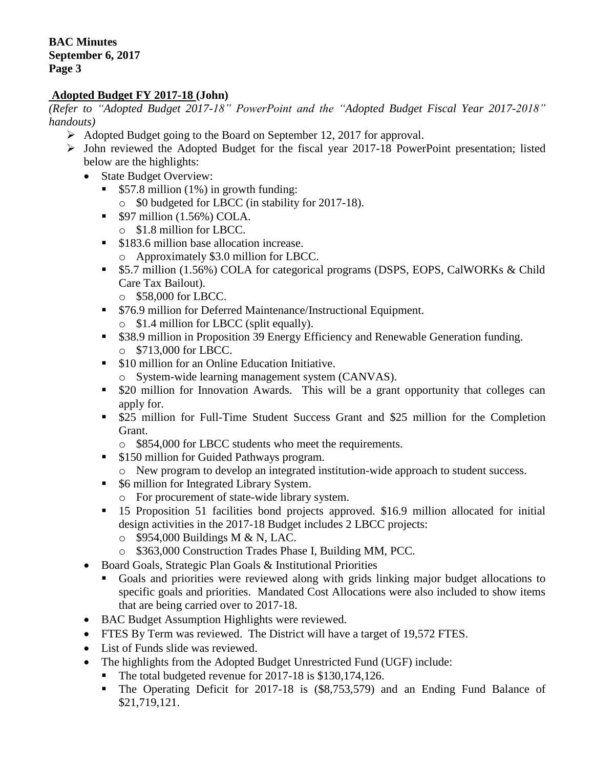## **Adopted Budget FY 2017-18 (John)**

*(Refer to "Adopted Budget 2017-18" PowerPoint and the "Adopted Budget Fiscal Year 2017-2018" handouts)*

- $\triangleright$  Adopted Budget going to the Board on September 12, 2017 for approval.
- $\triangleright$  John reviewed the Adopted Budget for the fiscal year 2017-18 PowerPoint presentation; listed below are the highlights:
	- State Budget Overview:
		- \$57.8 million (1%) in growth funding:
			- o \$0 budgeted for LBCC (in stability for 2017-18).
		- $\bullet$  \$97 million (1.56%) COLA.
			- o \$1.8 million for LBCC.
		- **S183.6 million base allocation increase.** 
			- o Approximately \$3.0 million for LBCC.
		- **\$5.7 million (1.56%) COLA for categorical programs (DSPS, EOPS, CalWORKs & Child** Care Tax Bailout).
			- o \$58,000 for LBCC.
		- **576.9 million for Deferred Maintenance/Instructional Equipment.** o \$1.4 million for LBCC (split equally).
		- \$38.9 million in Proposition 39 Energy Efficiency and Renewable Generation funding. o \$713,000 for LBCC.
		- **S10 million for an Online Education Initiative.** 
			- o System-wide learning management system (CANVAS).
		- \$20 million for Innovation Awards. This will be a grant opportunity that colleges can apply for.
		- \$25 million for Full-Time Student Success Grant and \$25 million for the Completion Grant.
			- o \$854,000 for LBCC students who meet the requirements.
		- \$150 million for Guided Pathways program.
			- o New program to develop an integrated institution-wide approach to student success.
		- \$6 million for Integrated Library System.
			- o For procurement of state-wide library system.
		- 15 Proposition 51 facilities bond projects approved. \$16.9 million allocated for initial design activities in the 2017-18 Budget includes 2 LBCC projects:
			- $\circ$  \$954,000 Buildings M & N, LAC.
			- o \$363,000 Construction Trades Phase I, Building MM, PCC.
	- Board Goals, Strategic Plan Goals & Institutional Priorities
		- Goals and priorities were reviewed along with grids linking major budget allocations to specific goals and priorities. Mandated Cost Allocations were also included to show items that are being carried over to 2017-18.
	- BAC Budget Assumption Highlights were reviewed.
	- FTES By Term was reviewed. The District will have a target of 19,572 FTES.
	- List of Funds slide was reviewed.
	- The highlights from the Adopted Budget Unrestricted Fund (UGF) include:
		- The total budgeted revenue for 2017-18 is \$130,174,126.
		- The Operating Deficit for 2017-18 is (\$8,753,579) and an Ending Fund Balance of \$21,719,121.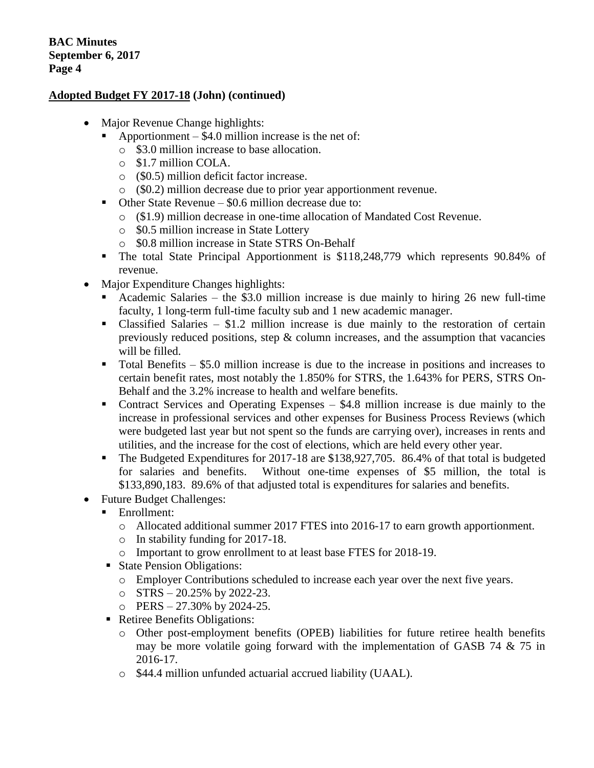### **Adopted Budget FY 2017-18 (John) (continued)**

- Major Revenue Change highlights:
	- Apportionment  $-$  \$4.0 million increase is the net of:
		- o \$3.0 million increase to base allocation.
		- o \$1.7 million COLA.
		- o (\$0.5) million deficit factor increase.
	- o (\$0.2) million decrease due to prior year apportionment revenue.
	- Other State Revenue \$0.6 million decrease due to:
		- o (\$1.9) million decrease in one-time allocation of Mandated Cost Revenue.
		- o \$0.5 million increase in State Lottery
		- o \$0.8 million increase in State STRS On-Behalf
	- The total State Principal Apportionment is \$118,248,779 which represents 90.84% of revenue.
- Major Expenditure Changes highlights:
	- Academic Salaries the \$3.0 million increase is due mainly to hiring 26 new full-time faculty, 1 long-term full-time faculty sub and 1 new academic manager.
	- Classified Salaries \$1.2 million increase is due mainly to the restoration of certain previously reduced positions, step  $\&$  column increases, and the assumption that vacancies will be filled.
	- $\blacksquare$  Total Benefits \$5.0 million increase is due to the increase in positions and increases to certain benefit rates, most notably the 1.850% for STRS, the 1.643% for PERS, STRS On-Behalf and the 3.2% increase to health and welfare benefits.
	- Contract Services and Operating Expenses \$4.8 million increase is due mainly to the increase in professional services and other expenses for Business Process Reviews (which were budgeted last year but not spent so the funds are carrying over), increases in rents and utilities, and the increase for the cost of elections, which are held every other year.
	- The Budgeted Expenditures for 2017-18 are \$138,927,705. 86.4% of that total is budgeted for salaries and benefits. Without one-time expenses of \$5 million, the total is \$133,890,183. 89.6% of that adjusted total is expenditures for salaries and benefits.
- Future Budget Challenges:
	- Enrollment:
		- o Allocated additional summer 2017 FTES into 2016-17 to earn growth apportionment.
		- o In stability funding for 2017-18.
		- o Important to grow enrollment to at least base FTES for 2018-19.
	- State Pension Obligations:
		- o Employer Contributions scheduled to increase each year over the next five years.
		- $\circ$  STRS 20.25% by 2022-23.
		- o PERS 27.30% by 2024-25.
	- Retiree Benefits Obligations:
		- o Other post-employment benefits (OPEB) liabilities for future retiree health benefits may be more volatile going forward with the implementation of GASB 74 & 75 in 2016-17.
		- o \$44.4 million unfunded actuarial accrued liability (UAAL).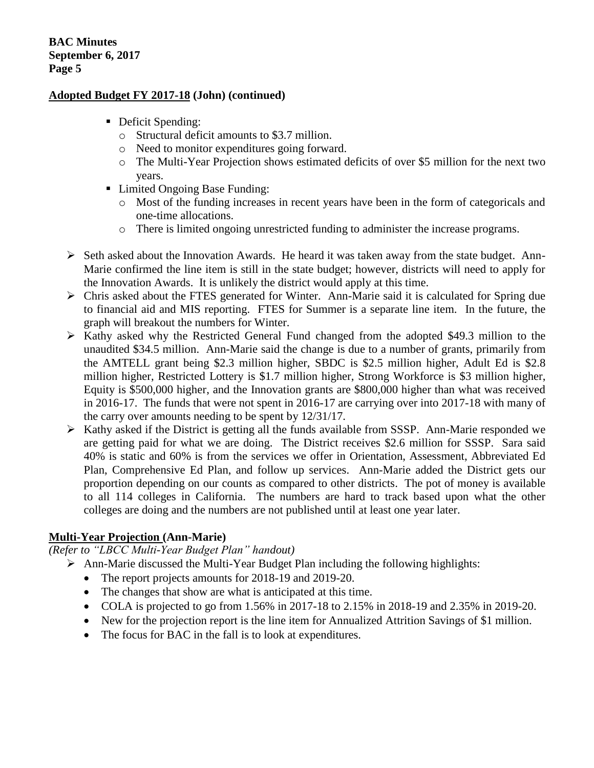#### **Adopted Budget FY 2017-18 (John) (continued)**

- Deficit Spending:
	- o Structural deficit amounts to \$3.7 million.
	- o Need to monitor expenditures going forward.
	- o The Multi-Year Projection shows estimated deficits of over \$5 million for the next two years.
- Limited Ongoing Base Funding:
	- o Most of the funding increases in recent years have been in the form of categoricals and one-time allocations.
	- o There is limited ongoing unrestricted funding to administer the increase programs.
- Seth asked about the Innovation Awards. He heard it was taken away from the state budget. Ann-Marie confirmed the line item is still in the state budget; however, districts will need to apply for the Innovation Awards. It is unlikely the district would apply at this time.
- $\triangleright$  Chris asked about the FTES generated for Winter. Ann-Marie said it is calculated for Spring due to financial aid and MIS reporting. FTES for Summer is a separate line item. In the future, the graph will breakout the numbers for Winter.
- $\triangleright$  Kathy asked why the Restricted General Fund changed from the adopted \$49.3 million to the unaudited \$34.5 million. Ann-Marie said the change is due to a number of grants, primarily from the AMTELL grant being \$2.3 million higher, SBDC is \$2.5 million higher, Adult Ed is \$2.8 million higher, Restricted Lottery is \$1.7 million higher, Strong Workforce is \$3 million higher, Equity is \$500,000 higher, and the Innovation grants are \$800,000 higher than what was received in 2016-17. The funds that were not spent in 2016-17 are carrying over into 2017-18 with many of the carry over amounts needing to be spent by 12/31/17.
- $\triangleright$  Kathy asked if the District is getting all the funds available from SSSP. Ann-Marie responded we are getting paid for what we are doing. The District receives \$2.6 million for SSSP. Sara said 40% is static and 60% is from the services we offer in Orientation, Assessment, Abbreviated Ed Plan, Comprehensive Ed Plan, and follow up services. Ann-Marie added the District gets our proportion depending on our counts as compared to other districts. The pot of money is available to all 114 colleges in California. The numbers are hard to track based upon what the other colleges are doing and the numbers are not published until at least one year later.

#### **Multi-Year Projection (Ann-Marie)**

*(Refer to "LBCC Multi-Year Budget Plan" handout)*

- $\triangleright$  Ann-Marie discussed the Multi-Year Budget Plan including the following highlights:
	- The report projects amounts for 2018-19 and 2019-20.
	- The changes that show are what is anticipated at this time.
	- COLA is projected to go from 1.56% in 2017-18 to 2.15% in 2018-19 and 2.35% in 2019-20.
	- New for the projection report is the line item for Annualized Attrition Savings of \$1 million.
	- The focus for BAC in the fall is to look at expenditures.